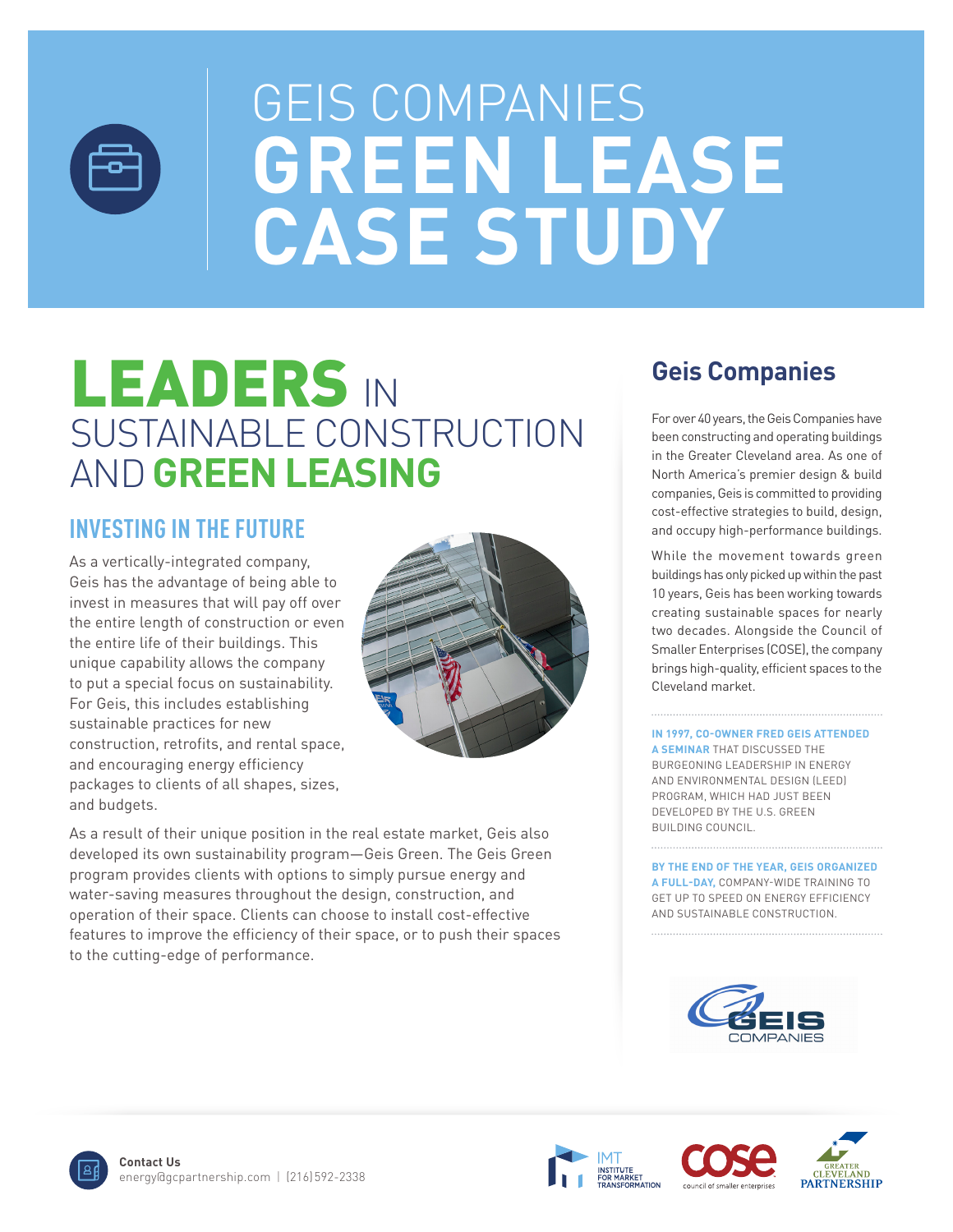

# LEADERS IN SUSTAINABLE CONSTRUCTION AND**GREEN LEASING**

### **INVESTING IN THE FUTURE**

As a vertically-integrated company, Geis has the advantage of being able to invest in measures that will pay off over the entire length of construction or even the entire life of their buildings. This unique capability allows the company to put a special focus on sustainability. For Geis, this includes establishing sustainable practices for new construction, retrofits, and rental space, and encouraging energy efficiency packages to clients of all shapes, sizes, and budgets.



As a result of their unique position in the real estate market, Geis also developed its own sustainability program—Geis Green. The Geis Green program provides clients with options to simply pursue energy and water-saving measures throughout the design, construction, and operation of their space. Clients can choose to install cost-effective features to improve the efficiency of their space, or to push their spaces to the cutting-edge of performance.

### **Geis Companies**

For over 40 years, the Geis Companies have been constructing and operating buildings in the Greater Cleveland area. As one of North America's premier design & build companies, Geis is committed to providing cost-effective strategies to build, design, and occupy high-performance buildings.

While the movement towards green buildings has only picked up within the past 10 years, Geis has been working towards creating sustainable spaces for nearly two decades. Alongside the Council of Smaller Enterprises (COSE), the company brings high-quality, efficient spaces to the Cleveland market.

**IN 1997, CO-OWNER FRED GEIS ATTENDED A SEMINAR** THAT DISCUSSED THE BURGEONING LEADERSHIP IN ENERGY AND ENVIRONMENTAL DESIGN (LEED) PROGRAM, WHICH HAD JUST BEEN DEVELOPED BY THE U.S. GREEN BUILDING COUNCIL.

**BY THE END OF THE YEAR, GEIS ORGANIZED A FULL-DAY,** COMPANY-WIDE TRAINING TO GET UP TO SPEED ON ENERGY EFFICIENCY AND SUSTAINABLE CONSTRUCTION.







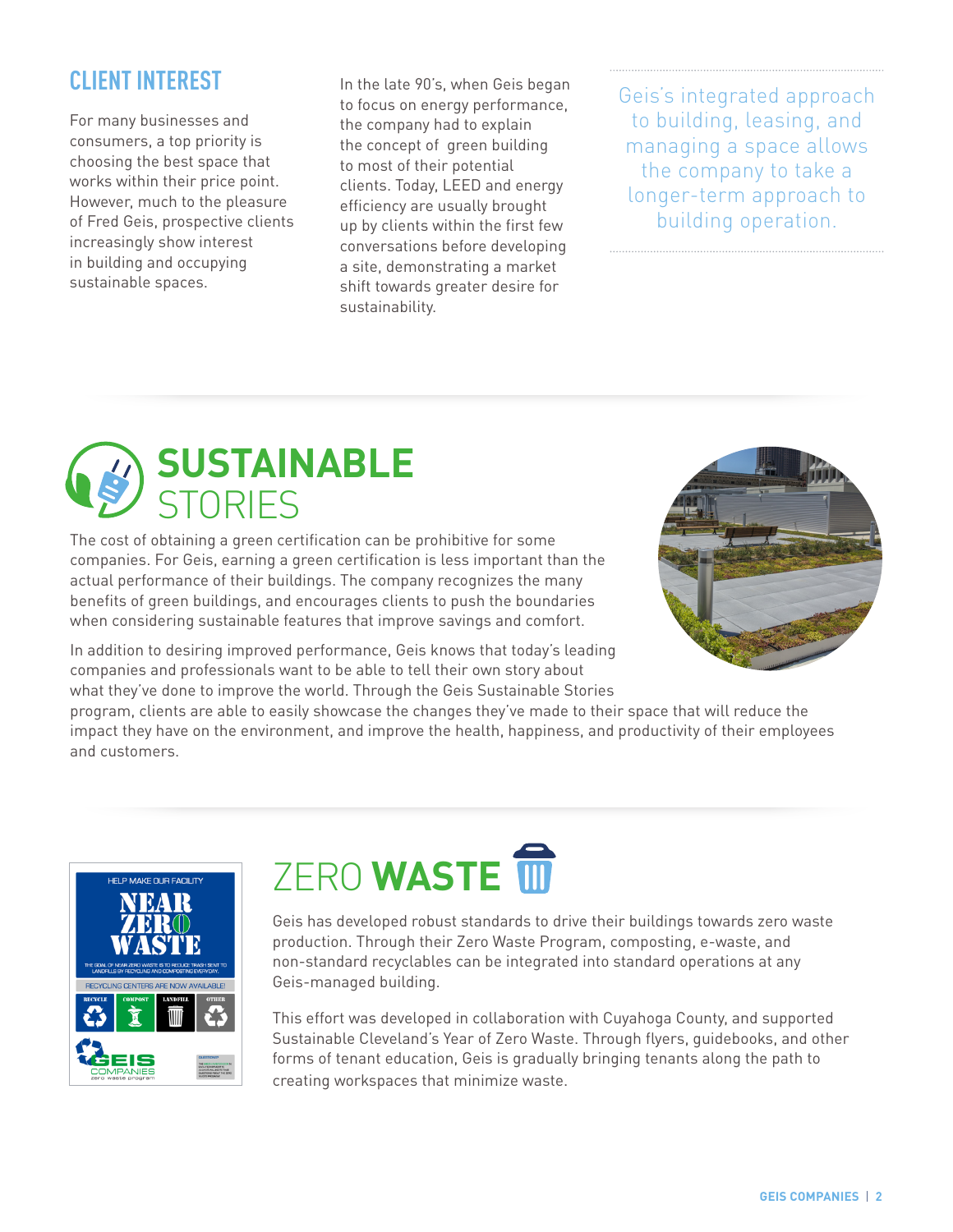### **CLIENT INTEREST**

For many businesses and consumers, a top priority is choosing the best space that works within their price point. However, much to the pleasure of Fred Geis, prospective clients increasingly show interest in building and occupying sustainable spaces.

In the late 90's, when Geis began to focus on energy performance, the company had to explain the concept of green building to most of their potential clients. Today, LEED and energy efficiency are usually brought up by clients within the first few conversations before developing a site, demonstrating a market shift towards greater desire for sustainability.

Geis's integrated approach to building, leasing, and managing a space allows the company to take a longer-term approach to building operation.



The cost of obtaining a green certification can be prohibitive for some companies. For Geis, earning a green certification is less important than the actual performance of their buildings. The company recognizes the many benefits of green buildings, and encourages clients to push the boundaries when considering sustainable features that improve savings and comfort.



In addition to desiring improved performance, Geis knows that today's leading companies and professionals want to be able to tell their own story about what they've done to improve the world. Through the Geis Sustainable Stories

program, clients are able to easily showcase the changes they've made to their space that will reduce the impact they have on the environment, and improve the health, happiness, and productivity of their employees and customers.



# **ZERO WASTE**

Geis has developed robust standards to drive their buildings towards zero waste production. Through their Zero Waste Program, composting, e-waste, and non-standard recyclables can be integrated into standard operations at any Geis-managed building.

This effort was developed in collaboration with Cuyahoga County, and supported Sustainable Cleveland's Year of Zero Waste. Through flyers, guidebooks, and other forms of tenant education, Geis is gradually bringing tenants along the path to creating workspaces that minimize waste.